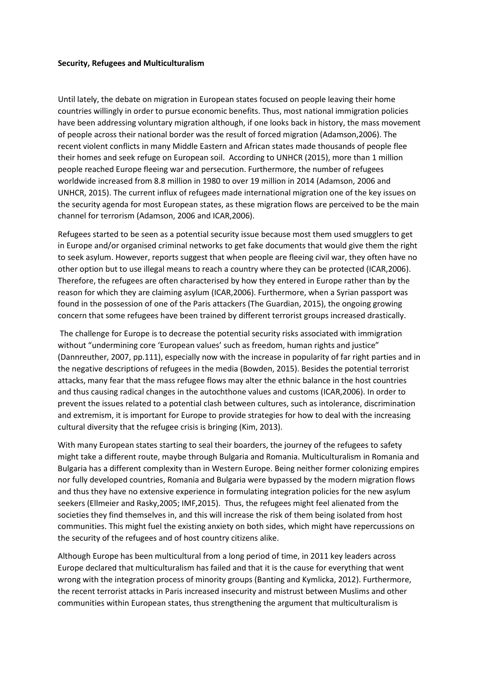## **Security, Refugees and Multiculturalism**

Until lately, the debate on migration in European states focused on people leaving their home countries willingly in order to pursue economic benefits. Thus, most national immigration policies have been addressing voluntary migration although, if one looks back in history, the mass movement of people across their national border was the result of forced migration (Adamson,2006). The recent violent conflicts in many Middle Eastern and African states made thousands of people flee their homes and seek refuge on European soil. According to UNHCR (2015), more than 1 million people reached Europe fleeing war and persecution. Furthermore, the number of refugees worldwide increased from 8.8 million in 1980 to over 19 million in 2014 (Adamson, 2006 and UNHCR, 2015). The current influx of refugees made international migration one of the key issues on the security agenda for most European states, as these migration flows are perceived to be the main channel for terrorism (Adamson, 2006 and ICAR,2006).

Refugees started to be seen as a potential security issue because most them used smugglers to get in Europe and/or organised criminal networks to get fake documents that would give them the right to seek asylum. However, reports suggest that when people are fleeing civil war, they often have no other option but to use illegal means to reach a country where they can be protected (ICAR,2006). Therefore, the refugees are often characterised by how they entered in Europe rather than by the reason for which they are claiming asylum (ICAR,2006). Furthermore, when a Syrian passport was found in the possession of one of the Paris attackers (The Guardian, 2015), the ongoing growing concern that some refugees have been trained by different terrorist groups increased drastically.

The challenge for Europe is to decrease the potential security risks associated with immigration without "undermining core 'European values' such as freedom, human rights and justice" (Dannreuther, 2007, pp.111), especially now with the increase in popularity of far right parties and in the negative descriptions of refugees in the media (Bowden, 2015). Besides the potential terrorist attacks, many fear that the mass refugee flows may alter the ethnic balance in the host countries and thus causing radical changes in the autochthone values and customs (ICAR,2006). In order to prevent the issues related to a potential clash between cultures, such as intolerance, discrimination and extremism, it is important for Europe to provide strategies for how to deal with the increasing cultural diversity that the refugee crisis is bringing (Kim, 2013).

With many European states starting to seal their boarders, the journey of the refugees to safety might take a different route, maybe through Bulgaria and Romania. Multiculturalism in Romania and Bulgaria has a different complexity than in Western Europe. Being neither former colonizing empires nor fully developed countries, Romania and Bulgaria were bypassed by the modern migration flows and thus they have no extensive experience in formulating integration policies for the new asylum seekers (Ellmeier and Rasky,2005; IMF,2015). Thus, the refugees might feel alienated from the societies they find themselves in, and this will increase the risk of them being isolated from host communities. This might fuel the existing anxiety on both sides, which might have repercussions on the security of the refugees and of host country citizens alike.

Although Europe has been multicultural from a long period of time, in 2011 key leaders across Europe declared that multiculturalism has failed and that it is the cause for everything that went wrong with the integration process of minority groups (Banting and Kymlicka, 2012). Furthermore, the recent terrorist attacks in Paris increased insecurity and mistrust between Muslims and other communities within European states, thus strengthening the argument that multiculturalism is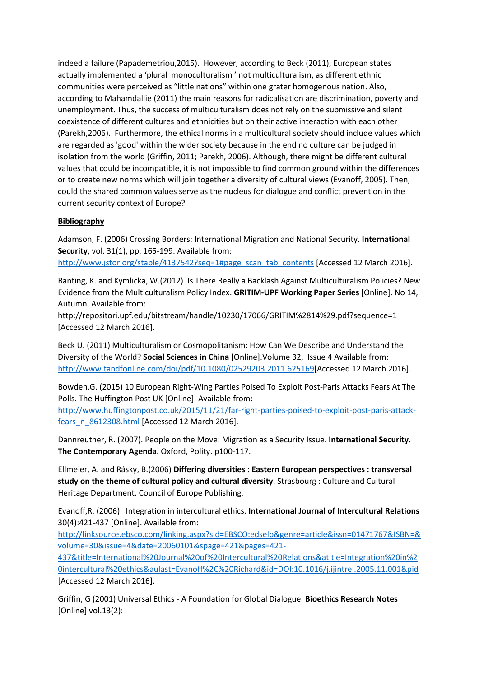indeed a failure (Papademetriou,2015). However, according to Beck (2011), European states actually implemented a 'plural monoculturalism ' not multiculturalism, as different ethnic communities were perceived as "little nations" within one grater homogenous nation. Also, according to Mahamdallie (2011) the main reasons for radicalisation are discrimination, poverty and unemployment. Thus, the success of multiculturalism does not rely on the submissive and silent coexistence of different cultures and ethnicities but on their active interaction with each other (Parekh,2006). Furthermore, the ethical norms in a multicultural society should include values which are regarded as 'good' within the wider society because in the end no culture can be judged in isolation from the world (Griffin, 2011; Parekh, 2006). Although, there might be different cultural values that could be incompatible, it is not impossible to find common ground within the differences or to create new norms which will join together a diversity of cultural views (Evanoff, 2005). Then, could the shared common values serve as the nucleus for dialogue and conflict prevention in the current security context of Europe?

## **Bibliography**

Adamson, F. (2006) Crossing Borders: International Migration and National Security. **International Security**, vol. 31(1), pp. 165-199. Available from:

[http://www.jstor.org/stable/4137542?seq=1#page\\_scan\\_tab\\_contents](http://www.jstor.org/stable/4137542?seq=1#page_scan_tab_contents) [Accessed 12 March 2016].

Banting, K. and Kymlicka, W.(2012) Is There Really a Backlash Against Multiculturalism Policies? New Evidence from the Multiculturalism Policy Index. **GRITIM-UPF Working Paper Series** [Online]. No 14, Autumn. Available from:

http://repositori.upf.edu/bitstream/handle/10230/17066/GRITIM%2814%29.pdf?sequence=1 [Accessed 12 March 2016].

Beck U. (2011) Multiculturalism or Cosmopolitanism: How Can We Describe and Understand the Diversity of the World? **Social Sciences in China** [Online].Volume 32, Issue 4 Available from: [http://www.tandfonline.com/doi/pdf/10.1080/02529203.2011.625169\[](http://www.tandfonline.com/doi/pdf/10.1080/02529203.2011.625169)Accessed 12 March 2016].

Bowden,G. (2015) 10 European Right-Wing Parties Poised To Exploit Post-Paris Attacks Fears At The Polls. The Huffington Post UK [Online]. Available from:

[http://www.huffingtonpost.co.uk/2015/11/21/far-right-parties-poised-to-exploit-post-paris-attack](http://www.huffingtonpost.co.uk/2015/11/21/far-right-parties-poised-to-exploit-post-paris-attack-fears_n_8612308.html)[fears\\_n\\_8612308.html](http://www.huffingtonpost.co.uk/2015/11/21/far-right-parties-poised-to-exploit-post-paris-attack-fears_n_8612308.html) [Accessed 12 March 2016].

Dannreuther, R. (2007). People on the Move: Migration as a Security Issue. **International Security. The Contemporary Agenda**. Oxford, Polity. p100-117.

Ellmeier, A. and Rásky, B.(2006) **Differing diversities : Eastern European perspectives : transversal study on the theme of cultural policy and cultural diversity**. Strasbourg : Culture and Cultural Heritage Department, Council of Europe Publishing.

Evanoff,R. (2006) Integration in intercultural ethics. **International Journal of Intercultural Relations** 30(4):421-437 [Online]. Available from:

[http://linksource.ebsco.com/linking.aspx?sid=EBSCO:edselp&genre=article&issn=01471767&ISBN=&](http://linksource.ebsco.com/linking.aspx?sid=EBSCO:edselp&genre=article&issn=01471767&ISBN=&volume=30&issue=4&date=20060101&spage=421&pages=421-437&title=International%20Journal%20of%20Intercultural%20Relations&atitle=Integration%20in%20intercultural%20ethics&aulast=Evanoff%2C%20Richard&id=DOI:10.1016/j.ijintrel.2005.11.001&pid) [volume=30&issue=4&date=20060101&spage=421&pages=421-](http://linksource.ebsco.com/linking.aspx?sid=EBSCO:edselp&genre=article&issn=01471767&ISBN=&volume=30&issue=4&date=20060101&spage=421&pages=421-437&title=International%20Journal%20of%20Intercultural%20Relations&atitle=Integration%20in%20intercultural%20ethics&aulast=Evanoff%2C%20Richard&id=DOI:10.1016/j.ijintrel.2005.11.001&pid)

[437&title=International%20Journal%20of%20Intercultural%20Relations&atitle=Integration%20in%2](http://linksource.ebsco.com/linking.aspx?sid=EBSCO:edselp&genre=article&issn=01471767&ISBN=&volume=30&issue=4&date=20060101&spage=421&pages=421-437&title=International%20Journal%20of%20Intercultural%20Relations&atitle=Integration%20in%20intercultural%20ethics&aulast=Evanoff%2C%20Richard&id=DOI:10.1016/j.ijintrel.2005.11.001&pid) [0intercultural%20ethics&aulast=Evanoff%2C%20Richard&id=DOI:10.1016/j.ijintrel.2005.11.001&pid](http://linksource.ebsco.com/linking.aspx?sid=EBSCO:edselp&genre=article&issn=01471767&ISBN=&volume=30&issue=4&date=20060101&spage=421&pages=421-437&title=International%20Journal%20of%20Intercultural%20Relations&atitle=Integration%20in%20intercultural%20ethics&aulast=Evanoff%2C%20Richard&id=DOI:10.1016/j.ijintrel.2005.11.001&pid) [Accessed 12 March 2016].

Griffin, G (2001) Universal Ethics - A Foundation for Global Dialogue. **Bioethics Research Notes** [Online] vol.13(2):